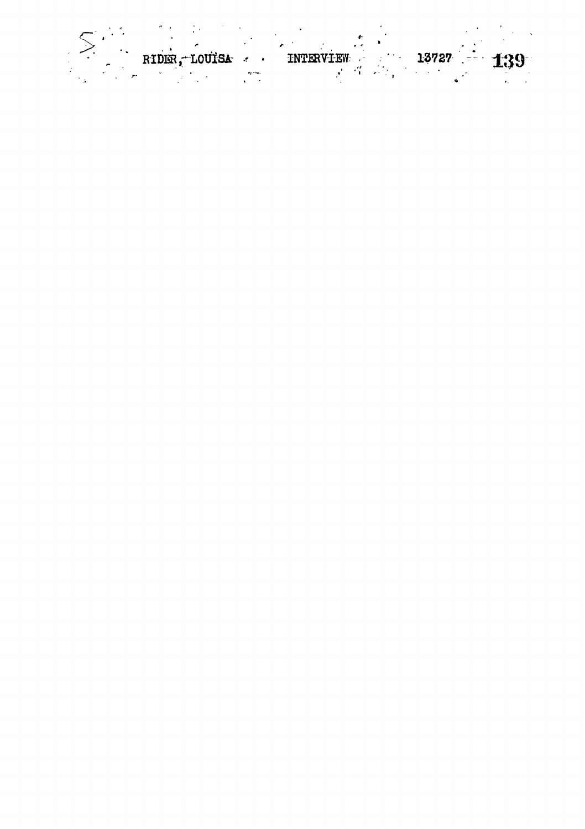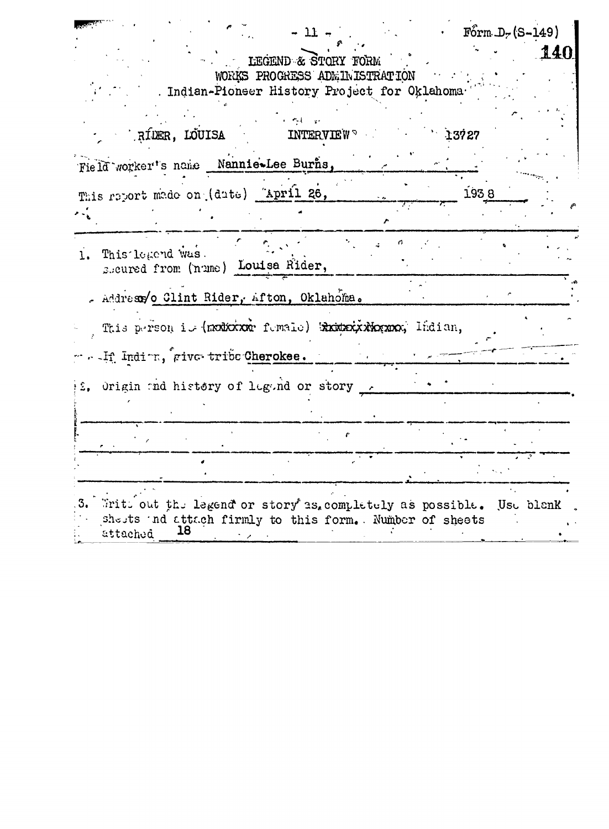|    | $F\acute{o}rm.D. (S-149)$<br>$-11 -$                                                                                                                |
|----|-----------------------------------------------------------------------------------------------------------------------------------------------------|
|    | 14<br>LEGEND & STORY FORM<br>WORKS PROGRESS ADMINISTRATION<br>. Indian-Pioneer History Project for Oklahoma                                         |
|    | RÍDER, LOUISA<br>13727<br><b>INTERVIEW</b>                                                                                                          |
|    | Field worker's name Nannie-Lee Burns,                                                                                                               |
|    | This report made on (date) April 26,<br>1938                                                                                                        |
|    | 1. This legend was.<br>seured from (nume) Louisa Rider,                                                                                             |
|    | . Addresso Clint Rider, Afton, Oklahoma.                                                                                                            |
|    | This person is (modicine female) Eximative Remove, Indian,                                                                                          |
|    | . If Indirm, give tribe Cherokee.                                                                                                                   |
|    | 2. Origin and history of logond or story 2                                                                                                          |
|    |                                                                                                                                                     |
|    |                                                                                                                                                     |
| з. | Writt out the legend or story as, completely as possible.<br>Use blenk<br>shests and attach firmly to this form. Number of sheets<br>18<br>attached |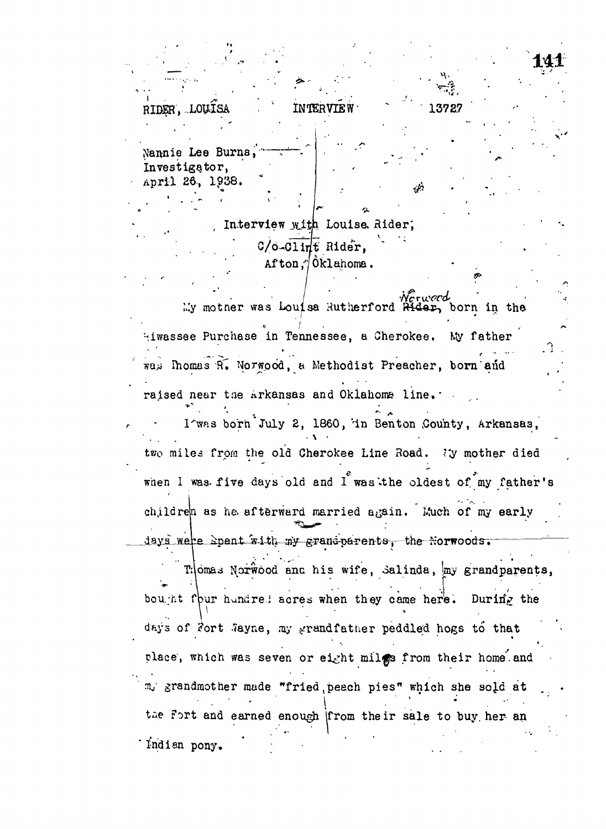**!»"**  $\frac{1}{2}$  .  $\frac{1}{2}$  .  $\frac{1}{2}$  .  $\frac{1}{2}$  .  $\frac{1}{2}$  .  $\frac{1}{2}$  .  $\frac{1}{2}$  .  $\frac{1}{2}$  .  $\frac{1}{2}$  .  $\frac{1}{2}$  .  $\frac{1}{2}$  .  $\frac{1}{2}$  .  $\frac{1}{2}$  .  $\frac{1}{2}$  .  $\frac{1}{2}$  .  $\frac{1}{2}$  .  $\frac{1}{2}$  .  $\frac{1}{2}$  .  $\frac{1$  $R$ TDER<sup>'</sup> TON 38<br>  $R$ Nannie Lee Burns Investigator, April 26., 1938. " k.<br>K

> Interview with Louise, Rider; C/o-Clint Rider, Afton*A* Oklahoma.

My motner was Louisa Rutherford Rider, born in the **/ \* '""** Hiwassee Purchase in Tennessee, a Cherokee. was Ihomas R. Norwood, a Methodist Preacher, born and wa>i Ihomas *-Vu* Norwood, a Methodist Preacher, born and

I'was born July 2, 1860, in Benton County, Arkansas, two miles from the old Cherokee Line Road. Wy mother died <sup>v</sup>in Benton County, Arkansas, when I was five days old and I was the oldest of my father's children as he afterward married again. Much of my early days were spent with my grand parents, the Norwoods.

 $K_{\mathcal{F}}^{\mathcal{A}}$  is defined as a set of  $\mathcal{F}^{\mathcal{A}}$  and  $\mathcal{F}^{\mathcal{A}}$  and  $\mathcal{F}^{\mathcal{A}}$  and  $\mathcal{F}^{\mathcal{A}}$  and  $\mathcal{F}^{\mathcal{A}}$ Thomas Norwood and his wife, Salinda, my grandparents, bou<sub>l</sub>nt four hundred acres when they came here. During the In the numerical scress when they came here. During place, which was seven or eight milgs from their home and m, grandmother made "fried peach pies" which she sold at  $\frac{1}{\sqrt{2}}$  grandmother made  $\frac{1}{\sqrt{2}}$  which she SO $\frac{1}{\sqrt{2}}$ **• • • • i • " .; ' ; . - •** that an pony.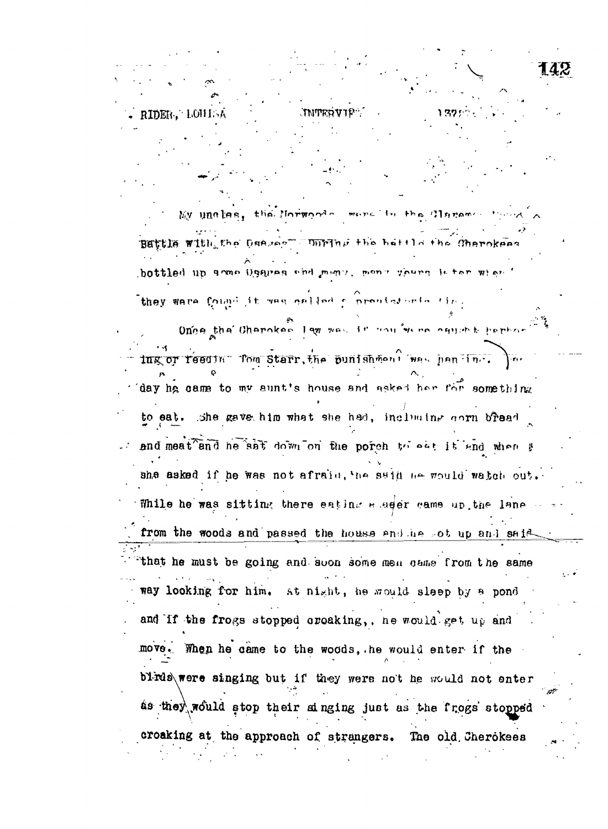RIDER, LOHIS **INTERVIE** My unalas, the Morwoods wore in the Clarence Battle with the Dansee" Unring the hattle the Charokes bottled up anno Oggreg chd men:, mon r goern letor wien they ware found it was called a problementation Ones the Charokas law was it conferred agreed part ing or reeding fom Starr, the punishment was handling. day he came to my aunt's house and asked her for something to eat. She gave him what she had, including corn bread and meat and he saft down on the porch to eat it and when g she asked if he was not afraid, the said he would watch out. While he was sitting there eating a addr came up the lane from the woods and passed the house and he got up and said that he must be going and soon some men came from the same way looking for him. at night, he would sleep by a pond and If the frogs stopped croaking,, he would get up and move. When he came to the woods, he would enter if the blids were singing but if they were not he would not enter as they would stop their singing just as the frogs stopped croaking at the approach of strangers. The old Cherokees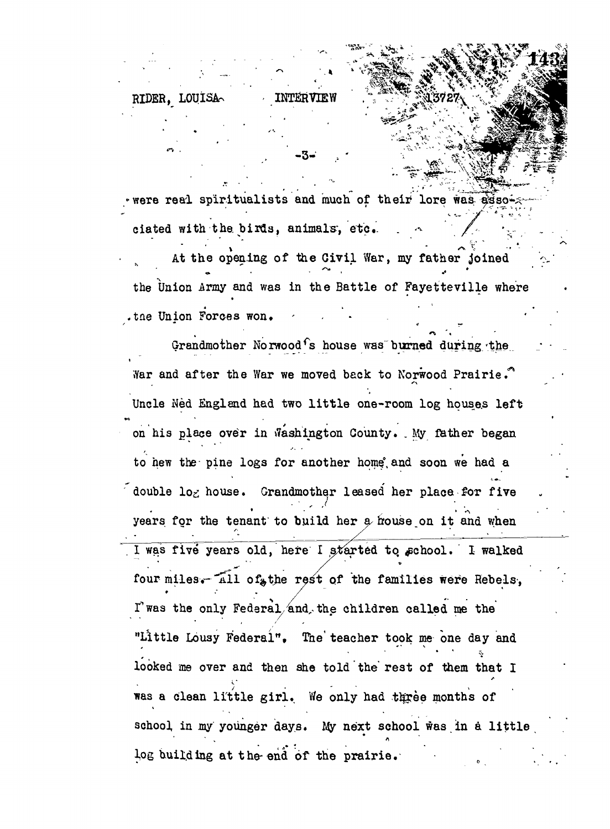## RIDER, LOUISA

were real spiritualists and much of their lore was asso ciated with the birds, animals, etc.

At the opening of the Civil War, my father joined the Union Army and was in the Battle of Fayetteville where .the Union Forces won.

Grandmother Norwood's house was burned during the War and after the War we moved back to Norwood Prairie. Uncle Ned England had two little one-room log houses left on his place over in Washington County. My father began to hew the pine logs for another home and soon we had a double log house. Grandmother leased her place for five years for the tenant to build her a house on it and when I was five years old, here I started to school. I walked four miles. All of the rest of the families were Rebels, I'was the only Federal and the children called me the "Little Lousy Federal". The teacher took me one day and looked me over and then she told the rest of them that I was a clean little girl. We only had three months of school in my younger days. My next school was in a little log building at the end of the prairie.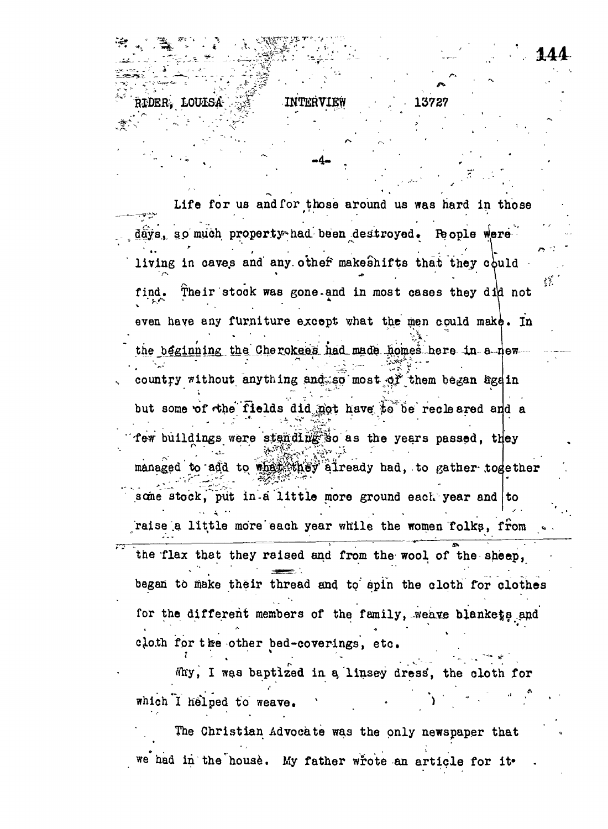INTER

RIDER. LOUISA

Life for us and for those around us was hard in those days, so much property had been destroyed. People were living in caves and any other makeshifts that they could 43. Their stock was gone and in most cases they did not find. even have any furniture except what the men could make. In the beginning the Cherokees had made homes here in a new country without anything and so most of them began agein but some of the fields did not have to be recleared and a few buildings were standing so as the years passed, they managed to add to what they already had, to gather together some stock, put in a little more ground each year and to raise a little more each year while the women folks, from the flax that they raised and from the wool of the sheep, began to make their thread and to spin the cloth for clothes for the different members of the family, weave blankets and cloth for the other bed-coverings, etc.

Why, I was baptized in a linsey dress, the cloth for which I helped to weave.

The Christian Advocate was the only newspaper that we had in the house. My father wrote an article for it.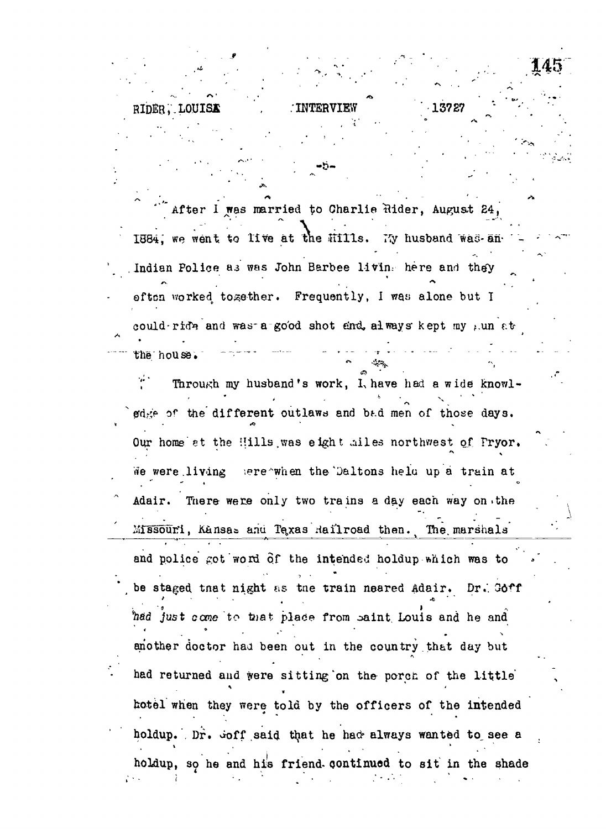after I was married to Charlie Rider, August 24, 1884," we went *%o* live at tne Hills. TTy husband "wad-ah- Indian Police as was John Barbee living here and they often worked together. Frequently, I was alone but I could-ride and was-a good shot and always kept my  $f.$ un at the house. *~~* \* *~~* <sup>r</sup> " "

RIDER, LOUIS**I** . *INTERVIEW* . *13727* . *1* 

*Al,*

 $\mathcal{T}$  Through my husband's work, I, have had a wide knowlgdge of the different outlaws and bad men of those days. Our home at the Hills was eight ailes northwest of Pryor. We were living sereawhen the Daltons held up a train at Adair. There were only two trains a day each way on.the Missouri, Kansas anu Texas Hailroad then. The marshals and police got word of the intended holdup which was to be staged tnat night as the train neared Adair. Dr. 06ff . The contract of the contract of the contract of the contract of the contract of the contract of the contract of the contract of the contract of the contract of the contract of the contract of the contract of the contrac ^jfiid just *ocme* to t»at plade from oaint. Louis and he and another doctor haa been out in the country.that day but had returned and were sitting on the porch of the little hotel when they were told by the officers of the intended holdup. Dr.  $\dot{\phi}$ off said that he had always wanted to see a holdup, so he and his friend- oontinued to sit in the shade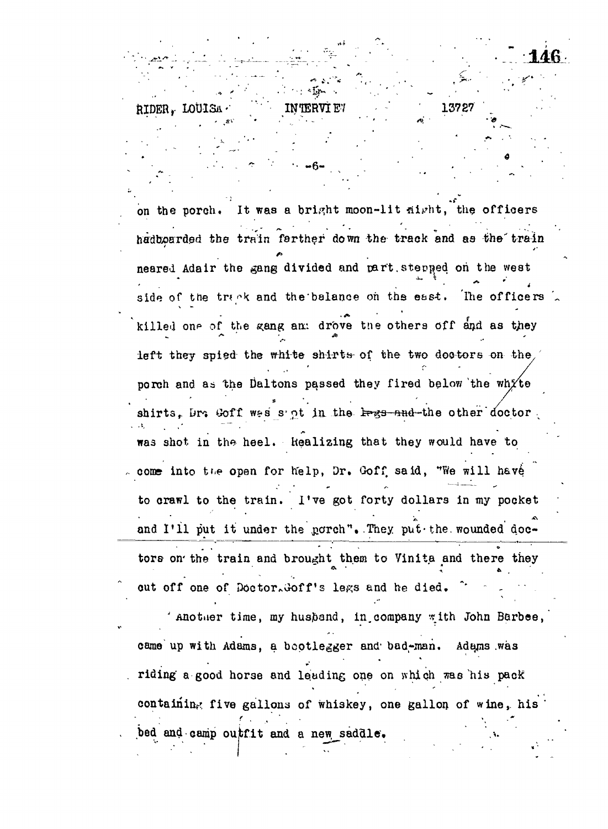on the porch. It was a bright moon-lit sight, the officers hadboarded the train farther down the track and as the train neared Adair the gang divided and part. stepped on the west side of the track and the balance on the east. The officers killed one of the gang am drove the others off and as they left they spied the white shirts- of the two doctors on the, porch and as the Daltons passed they fired below the white shirts, Dr. Goff wes s'nt in the <del>legs and </del>the other doctor ; was shot in the heel. Realizing that they would have to come into the open for help, Dr. Goff said, "We will have to crawl to the train. I've got forty dollars in my pocket and I'll put it under the  $norm<sup>n</sup>$ . They put-the wounded doctors on the train and brought them to Vinita and there they

**•• -6 -**

RIDER. LOUI

13727

out off one of Doctor. Goff's legs and he died.

Another time, my husband, in company with John Barbee, came up with Adams, a bootlegger and bad-man. Adams was riding' a good horse and leading one on which raa 'his pack containing five gallons of whiskey, one gallon of wine, his bed and camp outfit and a new saddle.

**;".••. • f . - r" - ••••.•- . .;•**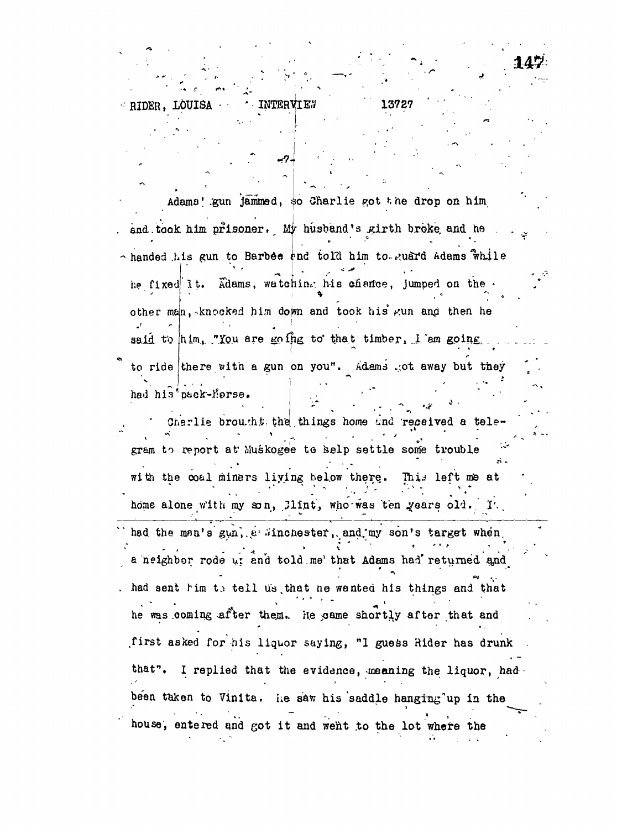RIDER, LOUISA 13727 INTERVIES

Adams' gun jammed, so Charlie got the drop on him t and the state of the state of the state of the state of the state of the state of the state of the state of , and the state of  $\mathbb{R}^n$  husband  $\mathbb{R}^n$  is the state of  $\mathbb{R}^n$  husband  $\mathbb{R}^n$ - handed .his gun to  $\mathbb{R}^n$  ,  $\mathbb{R}^n$  ,  $\mathbb{R}^n$  ,  $\mathbb{R}^n$  ,  $\mathbb{R}^n$  ,  $\mathbb{R}^n$  ,  $\mathbb{R}^n$  ,  $\mathbb{R}^n$  ,  $\mathbb{R}^n$  ,  $\mathbb{R}^n$  ,  $\mathbb{R}^n$  ,  $\mathbb{R}^n$  ,  $\mathbb{R}^n$  ,  $\mathbb{R}^n$  ,  $\mathbb{R}^n$  ,  $\mathbb{$ he fixed it. Adams, watching his chance, jumped on the other man, knocked him down and took his gun and then he said to him. "You are goffig to that timber. I am going,  $\ldots$ to ride there with a gun on you". Adams sot away but they had his<sup>t</sup>pack-Morse.

142

Charlie brought the things home and received a tele gram to report at Muskogee te selp settle some trouble  $\frac{1}{2}$ This left me at with the coal miners living below there. home alone with my son, Jlint, who was ten years old. It.

had the man's gun, e sinchester, and my son's target when a neighbor rode ui and told me' that Adams had returned and •»<sup>v</sup> . had sent him to tell us that he wanted his things and that he was coming after them. He came shortly after that and .first asked for his liquor saying, "I guess Rider has drunk that". I replied that the evidence, meaning the liquor, hadbeen taken to Vinita. he saw his saddle hanging up in the house, entered and got it and went to the lot where the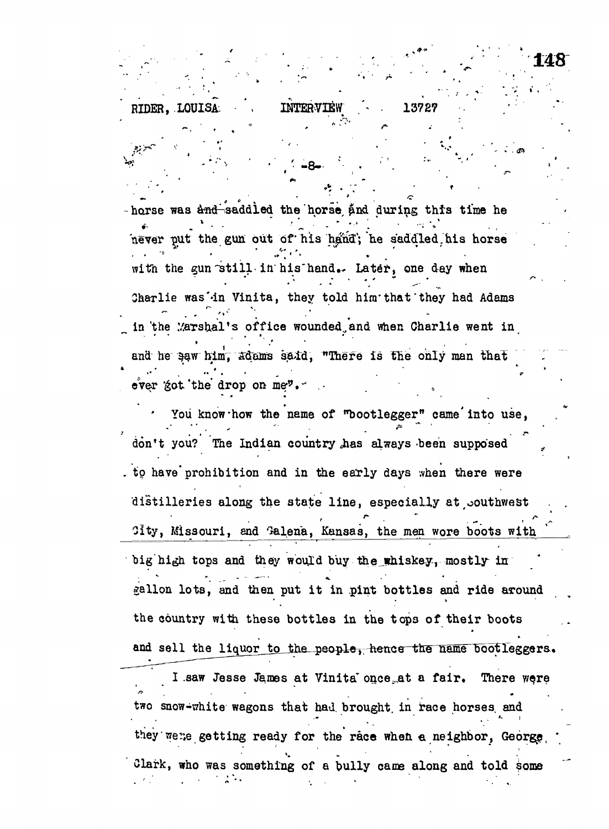INTERVIEW 13727 **RIDER. LOUISA** 

148

horse was and saddled the horse and during this time he never put the gun out of his hand; he saddled his horse with the gun still in his hand. Later, one day when Charlie was'in Vinita, they told him that they had Adams in the Marshal's office wounded and when Charlie went in and he saw him, adams said, "There is the only man that ever got the drop on me".

You know how the name of "bootlegger" came into use, don't you? The Indian country has always been supposed to have prohibition and in the early days when there were distilleries along the state line, especially at couthwest City, Missouri, and Galena, Kansas, the men wore boots with big high tops and they would buy the whiskey, mostly in gallon lots, and then put it in pint bottles and ride around the country with these bottles in the tops of their boots and sell the liquor to the people, hence the name bootleggers. I saw Jesse James at Vinita once at a fair. There were two snow-white wagons that had brought in race horses and they were getting ready for the race when a neighbor, George

Clark, who was something of a bully came along and told some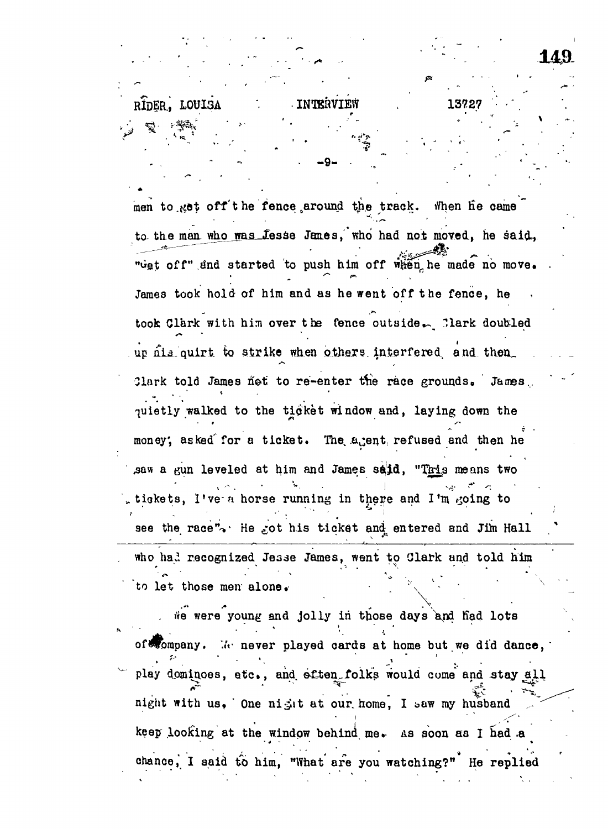RIDER. LOUISA \*... INTERVIEW . 13727

men to .get off the fence around the track. When he came to the man who was Jesse Janes, who had not moved, he said, "Get off" and started to push him off when he made no move. James took hold of him and as he went off the fence, he took Clark with him over the fence outside. Clark doubled up nia. quirt to strike when others interfered and then Clark told James not to re-enter the race grounds. James. quietly walked to the tigket window and, laying down the **c •** money; asked the state the state that, and the state the state then help and then help and then help and then h saw a gun leveled at him and James said, "This means two tickets, I've a horse running in there and I'm going to see the race\*V He £ot his ticket and entered and Jim Hall

**" - • -9 - • .. , . ' -\_ .**

. who had recognized Jesse James, went to Clark and told him  $t_{\rm eff}$  is a set that men mention  $\mathcal{L}_{\rm eff}$ 

He were young and jolly in those days and had lots of **Wompany.** We never played cards at home but we did dance, play dominoes, etc., and eften folks would come and stay all play dominate  $\mathcal{L}$  dominate  $\mathcal{L}$  and  $\mathcal{L}$  at lattice would come and  $\mathcal{L}$ night with us, One night at our home, I saw my husband night with us. ' One night with us. ' One night  $\mathcal{M}^{\mathcal{C}}$  the out. However, I t.a.w my husband ,... keep looking at the window behind me. As soon as I had a keep looking at the window behind me., A S soon aa I had .a chance, I said to him, "What are you watching?" He replied chance," I said to him, "What are you watching?" He replied to him, "What are you want to him," He replied to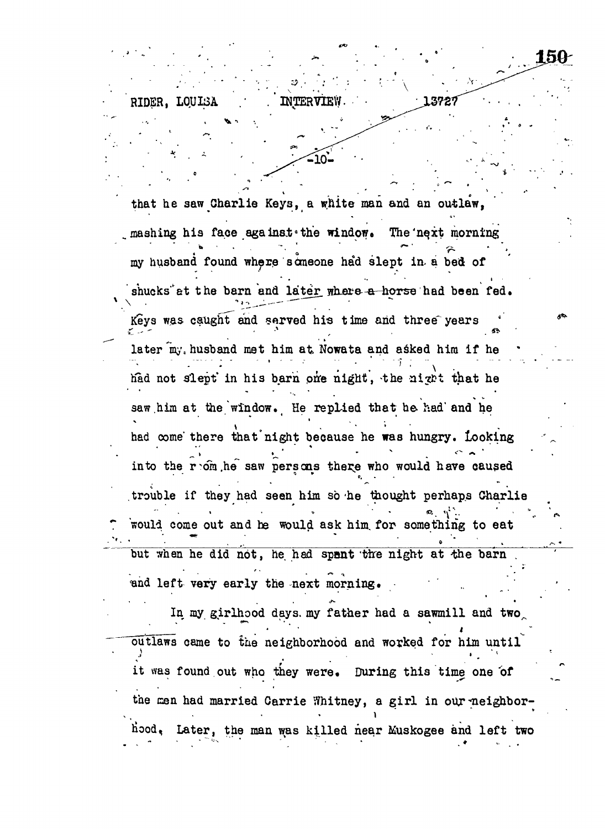that he saw Charlie Keys, a white man and an outlaw, mashing his face against the window. The next morning **•'•-•• . - . ' '** *\* " ^ • ' ,* my husband found where someone had slept in a bed of shucks at the barn and later where a horse had been fed. Keys was caught and served his time and three years *c - -* **•\* , . . «• •** later my, husband met him at Nowata and asked him if he had not slept in his barn one night, the night that he  $\mathcal{A}_\text{max}$  in the notation in the night,  $\mathcal{A}_\text{max}$  in the night,  $\mathcal{A}_\text{max}$ saw.him at the window. He replied that he had" and he had come' there that"night because he was hungry. Looking into the contract of  $\mathcal{O}$  into the same caused have caused have caused have caused have caused have caused **\*** *' . •* trouble if they had seen him so'he thought perhaps Charlie would come out and he would ask him for something to eat **-'•\_ j ''. " \_ . , ; ' ' •'»••• .** but when he did not, he had spent 'tire night at 'the barn . The barn . The barn . The barn . The barn . The b and left very early the next morning.

INTERVIE

150

RIDER, LOUISA

In my girl hood days, my father had a sawmill and a sawmill and a sawmill and a sawmill and a sawmill and a saw outlaws came to the neighborhood and worked for him until it was found out who they were. During this time one of the can had married Carrie Whitney, a girl in our ^neighborh'ood, Later, the man was killed near Muskogee and left two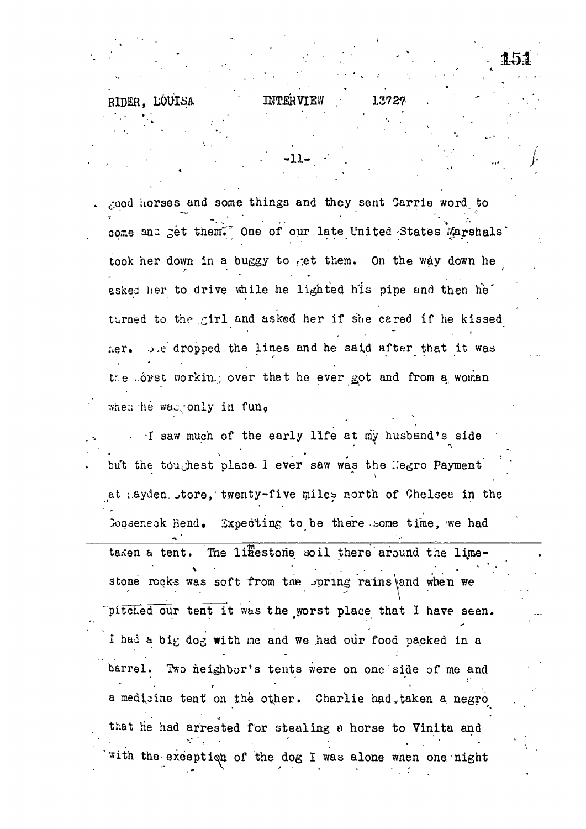good horses and some things and they sent Carrie word to come and get them." One of our late United States Marshals' took her down in a buggy to get them. On the way down he asked her to drive while he lighted his pipe and then he' turned to the girl and asked her if she cared if he kissed her. J.e dropped the lines and he said after that it was the forst working over that he ever got and from a woman when he was only in fun.

**INTERVIEW** 

.11.

13727

RIDER. LOUISA

I saw much of the early life at my husband's side but the toughest place I ever saw was the Negro Payment at hayden store, twenty-five miles north of Chelsea in the Gooseneck Bend. Expecting to be there some time, we had

The liffestone soil there around the limetaxen a tent. stone rocks was soft from the spring rains and when we pitched our tent it was the worst place that I have seen. I had a big dog with me and we had our food packed in a barrel. Two neighbor's tents were on one side of me and a medicine tent on the other. Charlie had taken a negro that he had arrested for stealing a horse to Vinita and with the exception of the dog I was alone when one night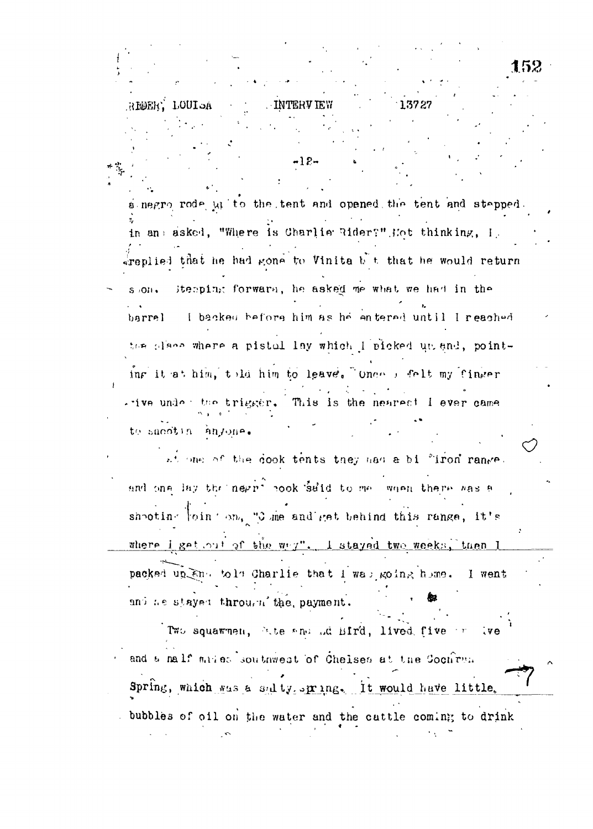REER, LOUISA 13727 **INTERVIEW** . 12. a negro rode ut to the tent and opened the tent and stepped. in an: asked, "Where is Charlie Rider?" Hot thinking, I.  $\frac{1}{2}$ replied that he had gone to Vinita b t that he would return itemping forward, he asked me what we had in the  $S/OH$ . I backed before him as he entered until I reached barrel the place where a pistol lay which lipicked up and, pointing it at him, told him to leave. Onee I felt my finger . ive under the trigger. This is the nearest I ever came to sucotin anyone. at one of the cook tents they had a bi "iron range. and one lay the negri cook said to me when there was a shooting foint on, "O me and get behind this range, it's where i get out of the wey". I stayed two weeks, then I packed up End told Charlie that I was going home. I went and he stayed through the payment. Two squawnen, Bite and Ad Bird, lived five or  $\mathbf{v}$ and a nalf miles southwest of Chelses at the Cochren. Spring, which was a salty spring. It would have little. bubbles of oil on the water and the cattle coming to drink

52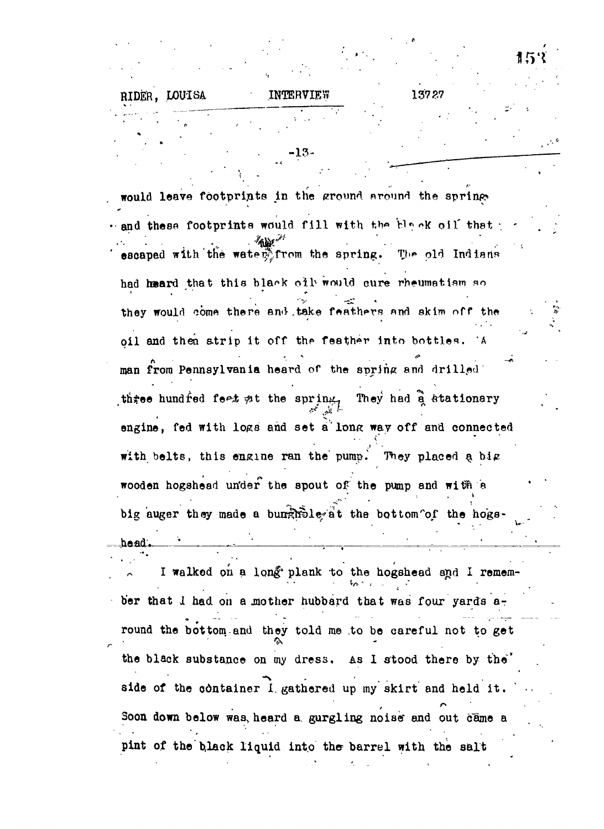-13 would leave footprints in the ground around the spring would leave for the ground nround nround the ground the ground the spring in the spring  $\mathcal{S}$ and these footprints would fill with the black oil that  $\mathscr{A}_{\mathbf{A}}$  is the set of these footprints would fill  $\mathscr{A}_{\mathbf{A}}$ The old Indians  $\mathcal{L}_{\mathcal{A}}$ had heard that this black oil would cure rheumatism so had h»ard that this blar-k olb would cure rheumatism sould cure rheumatism sould cure rheumatism sould cure rh<br>Ard this blar-k olb would cure rheumatism sould cure rheumatism sould cure rheumatism sould cure rheumatism so they would come there and take feathers and skim off the they would come they would come the enii . They would come the skim of the skim of the skim of the skim of the oil and then strip it off the feather into bottles. A only and then atrip it of the feather into bottles. At  $\mathcal{A}$ man from Pennsylvania heard of the spring and drilled man from Pennsylvania heard of the spring end drilled three hundred feet at the spring, They had a atationary the spring term in the spring Theorem in the spring Theorem in the spring Theorem in the spring Theorem in the<br>The spring Theorem in the spring Theorem in the spring Theorem in the spring Theorem in the spring Theorem in engine, fed with logs and set a long way off and connected engine, fed with logs and set a long way of and connected way of and connected way of and connected way of an with belts, this engine ran the pump. They placed a big with belts, this engine range  $\mathcal{L}_\mathcal{D}$  big engine range  $\mathcal{L}_\mathcal{D}$  big engine range  $\mathcal{L}_\mathcal{D}$ wooden hogshead under the spout of the pump and with a wooden hogshead un'der the spout of the pump and wi^n *a* big auger they made a bunghole at the bottom of the hogsbig auger they made a bundle  $\mathcal{O}_\mathcal{A}$  the bottom  $\mathcal{O}_\mathcal{A}$  the hoge  $\mathcal{O}_\mathcal{A}$ haad.

RIDER, LOUISA INTERVIEW 13727

I walked on a long plank to the hogshead and I remem-**4/5. - ,** *C* ber that I had on a mother hubbard that was four yards  $a_{\tau}$ round the bottom and they told me .to be careful not to get  $\mathbb{R}^2$  . The set of  $\mathbb{R}^2$  is the set of  $\mathbb{R}^2$  .  $\mathbf{b}$  substance on  $\mathbf{b}$  substance on  $\mathbf{b}$  substance on  $\mathbf{b}$  substance by the ' side of the container  $\mathbf{1}$ .  $\mathbf{1}$  ,  $\mathbf{1}$  ,  $\mathbf{1}$  ,  $\mathbf{1}$  ,  $\mathbf{1}$  ,  $\mathbf{1}$  ,  $\mathbf{1}$  ,  $\mathbf{1}$  ,  $\mathbf{1}$  ,  $\mathbf{1}$  ,  $\mathbf{1}$  ,  $\mathbf{1}$  ,  $\mathbf{1}$  ,  $\mathbf{1}$  ,  $\mathbf{1}$  ,  $\mathbf{1}$  ,  $\mathbf{1}$  ,  $\$ Soon down below was, heard a gurgling noise and out came a  $S$ oon down below was version down below was version  $\mathcal{S}$  and out oame and out oame and out oame and out oame pint of the black liquid into the barrel with the salt pint of theb,lack liquid into the barrel with the salt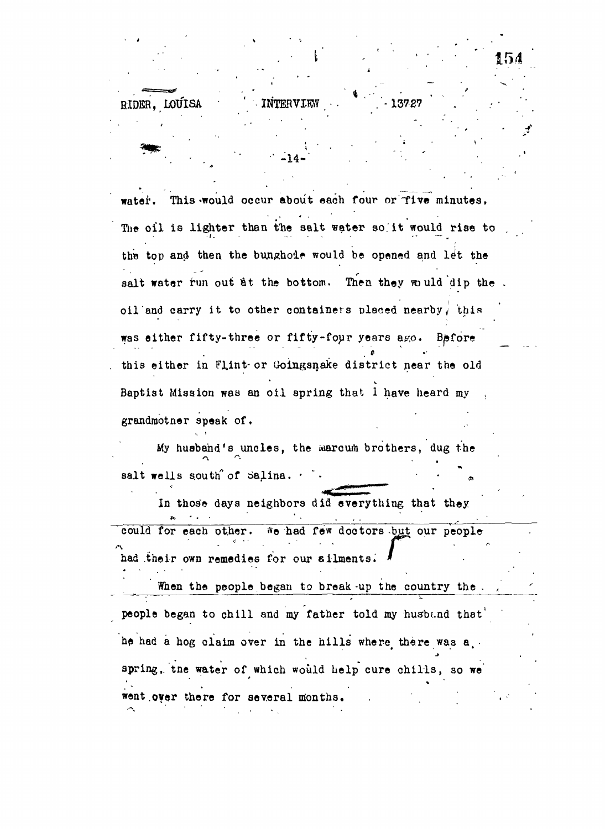water. This would occur about each four or Tive minutes, The oil is lighter than the salt water so it would rise to the top and then the bunghoie would be opened and let the salt water run out at the bottom. Then they would dip the. oil and carry it to other containers placed nearby, this was either fifty-three or fifty-four years ago. Before this either in Flint-or Goingsnake district near the old Baptist Mission was an oil spring that 1 have heard my grandmotner speak of.

RIDER, LOUISA **INTERVIEW 6 .1372** 

 $-14-$ 

154

My husband's uncles, the warcum brothers, dug the **a** salt wells south of  $\alpha$  salina.  $\cdot$ 

In those days neighbors did everything that they *\* \* ' •* • .. . • • could for each other. We had few doctors but our people had their own remedies for our silments. had .their own remedies for our ailments. \*

When the people began to break-up the country the .*<sup>A</sup>* people began to child and my father to child my father to child my father to child my father to  $\mathcal{A}$ he had a hog claim over in the hills wher-o# there was a, • spring, the water of which would help cure children water of which would help consider  $\mathcal{S}_\text{max}$ went over there for several months. went.**over** there for several months. .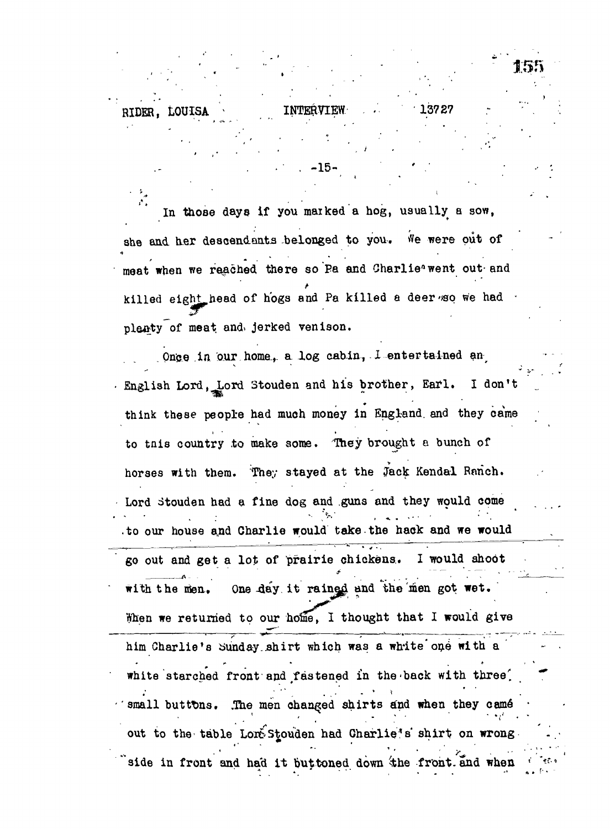RIDER, LOUISA <sup>\*</sup> 1NTERVIEW

**,..'• • •** *' •* **. . . -15 - ' • •**

In those days if you marked a hog, usually a sow, she and her descendants belonged to you. We were out of meat when we reached there so Pa and Charlie<sup>s</sup> went out and killed eight head of hogs and Pa killed a deer so we had plenty of meat and jerked venison.

. Once in our home, a log cabin,  $1$  entertained an English Lord, Lord Stouden and his brother, Earl. I don't think these people had much money in England, and they came to tnis country to make some. "They brought a bunch of horses with them. They stayed at the Jack Kendal Ranch. Lord stouden had a fine dog and guns and they would come .to our house and Charlie would take the hack and we would go out and get a lot of prairie chickens.. I would shoot with the men. One day it rained and the men got wet. When we returned to our home, I thought that I would give him Charlie's Sunday.shirt which was a white'one with a white starched front and *t*astened in the-back with three' small buttons. .The men changed shirts and when they camé **1 , . . • • •,• •** out to the table Lore<sup>s</sup> Stouden had Charlie<sup>®</sup> shirt on wrong side in front and had it buttoned down the front and when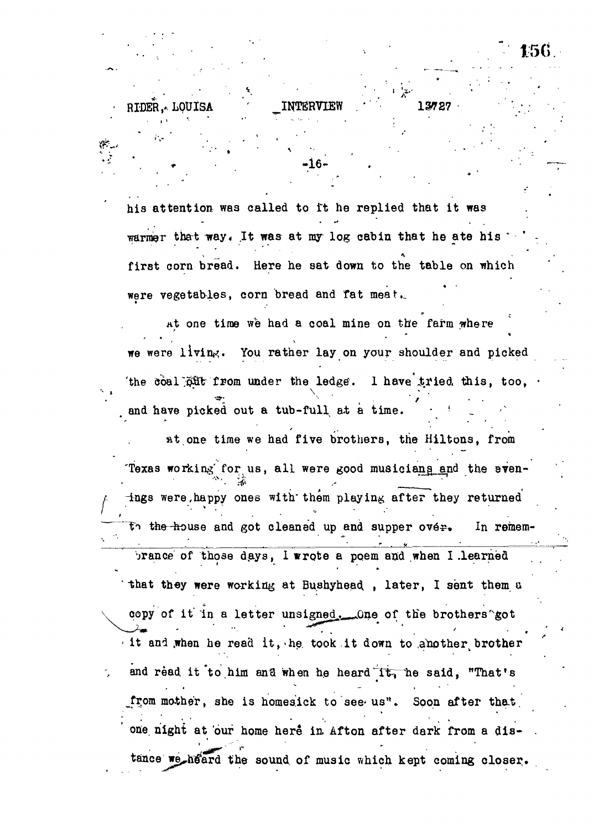his attention was called to it he replied that it was warmer that way. It was at my log cabin that he ate his first corn bread. Here he sat down to the table on which were vegetables, corn bread and fat meat...

•'- ', «. . -16 - . • •

156

RTDER. ALOUISA

at one time we had a coal mine on the farm where \* 9 • \ we were living. You rather lay on your shoulder and picked 'the coal  $\tilde{p}$ ift from under the ledge. I have tried this, too,  $\cdot$  $\bullet$  . The set of  $\bullet$  is the set of  $\bullet$  . The set of  $\bullet$  is the set of  $\bullet$ and have picked out at a time. In this case of the time  $\mathcal{A}$ 

at one time we had five brothers, the Hiltons, from at one time we had five brothers, the Hiltons, from the Hiltons, from the Hiltons, from the Hiltons, from the  $\eta$ Texas working for us, all were good musicians and the even-"Texas working for us, al l were good musician for us, al l were good musician for us, al l were good musician<br>Texas working for us, all l were good musician for us, all l were good musician for us, all l were good musicia ings were happy ones with them playing after they returned  $A$  Htngs were, happy ones with the matrix  $\mathcal{A}$  them players with the playing after the  $\mathcal{A}$ the house and got cleaned up and supper over. In remem- $\ddotsc$  . Time-house and got cleaned up and supper over  $\ddotsc$  in relations of the supper over  $\ddotsc$ of those days, I wrote a poem and when I learned **\* \* \***  $\mathcal{L}_{\mathcal{A}}$  that they were working at Bushyhead. , later, I sent them at Bush $\mathcal{A}$ copy of it in a letter unsigned. One of the brothers'got  $\mathbb{Z}_2$ it and when he read it, he took it down to amother brother  $\mathbf{r} = \mathbf{r} \cdot \mathbf{r}$  is a read in the read in the read in the read in the read in the set of  $\mathbf{r}$ and read it to him and when he heard it, he said, "That's and read it'to.him ana when h.e heard"Ttriie said, "That's from mother, she is homesick to see us". Soon after that from mother, she is homesick to see-us". Soon after tha.t. one night at our home here in Afton after dark from a disone night at our home here in  $\mathcal{O}_n$  after dark from a dis- . Afton after dark from a dis- . Afton after dark from a distance we heard the sound of music which kept coming closer.  $t$ aince we $\mathcal{L}$  tain the sound, of music which kept coming coming coming coming coming coming coming coming coming coming coming coming coming coming coming coming coming coming coming coming coming coming coming comi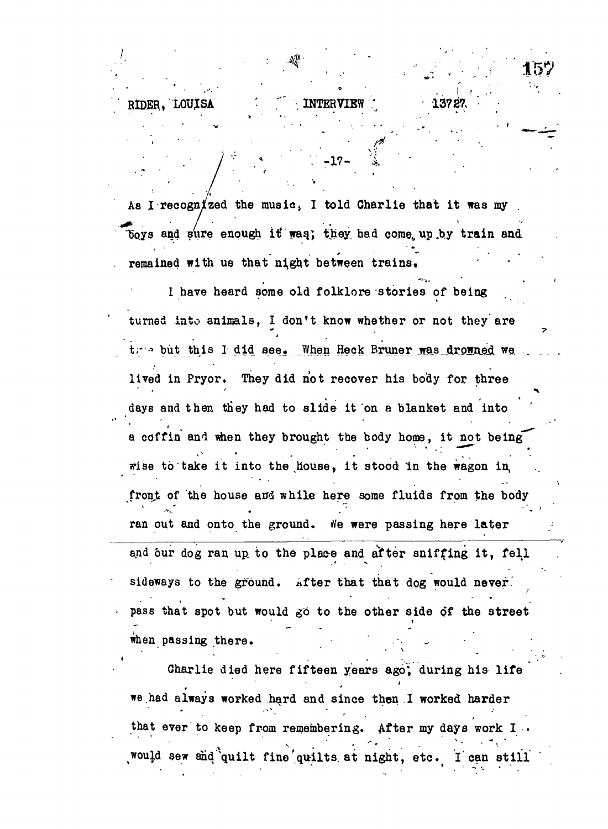## **RIDER, LOUISA**

As I recognized the music. I told Charlie that it was my boys and sure enough it was; they had come up by train and remained with us that night between trains.

INTERVIE

I have heard some old folklore stories of being turned into animals. I don't know whether or not they are tree but this I did see. When Heck Bruner was drowned we lived in Pryor. They did not recover his body for three days and then they had to slide it on a blanket and into a coffin and when they brought the body home, it not being wise to take it into the house, it stood in the wagon in front of the house and while here some fluids from the body ran out and onto the ground. We were passing here later and our dog ran up to the place and after sniffing it, fell sideways to the ground. After that that dog would never. pass that spot but would go to the other side of the street when passing there.

Charlie died here fifteen years ago, during his life we had always worked hard and since then I worked harder that ever to keep from remembering. After my days work I would sew and quilt fine quilts at night, etc. I can still